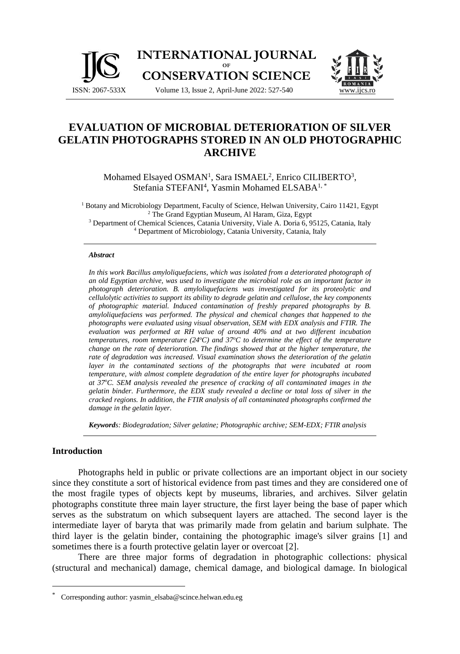



Mohamed Elsayed OSMAN<sup>1</sup>, Sara ISMAEL<sup>2</sup>, Enrico CILIBERTO<sup>3</sup>, Stefania STEFANI<sup>4</sup>, Yasmin Mohamed ELSABA<sup>1,\*</sup>

<sup>1</sup> Botany and Microbiology Department, Faculty of Science, Helwan University, Cairo 11421, Egypt <sup>2</sup> The Grand Egyptian Museum, Al Haram, Giza, Egypt <sup>3</sup> Department of Chemical Sciences, Catania University, Viale A. Doria 6, 95125, Catania, Italy

<sup>4</sup> Department of Microbiology, Catania University, Catania, Italy

#### *Abstract*

*In this work Bacillus amyloliquefaciens, which was isolated from a deteriorated photograph of an old Egyptian archive, was used to investigate the microbial role as an important factor in photograph deterioration. B. amyloliquefaciens was investigated for its proteolytic and cellulolytic activities to support its ability to degrade gelatin and cellulose, the key components of photographic material. Induced contamination of freshly prepared photographs by B. amyloliquefaciens was performed. The physical and chemical changes that happened to the photographs were evaluated using visual observation, SEM with EDX analysis and FTIR. The evaluation was performed at RH value of around 40% and at two different incubation temperatures, room temperature (24<sup>o</sup>C) and 37<sup>o</sup>C to determine the effect of the temperature change on the rate of deterioration. The findings showed that at the higher temperature, the rate of degradation was increased. Visual examination shows the deterioration of the gelatin layer in the contaminated sections of the photographs that were incubated at room temperature, with almost complete degradation of the entire layer for photographs incubated at 37<sup>o</sup>C. SEM analysis revealed the presence of cracking of all contaminated images in the gelatin binder. Furthermore, the EDX study revealed a decline or total loss of silver in the cracked regions. In addition, the FTIR analysis of all contaminated photographs confirmed the damage in the gelatin layer.*

*Keywords: Biodegradation; Silver gelatine; Photographic archive; SEM-EDX; FTIR analysis*

## **Introduction**

Photographs held in public or private collections are an important object in our society since they constitute a sort of historical evidence from past times and they are considered one of the most fragile types of objects kept by museums, libraries, and archives. Silver gelatin photographs constitute three main layer structure, the first layer being the base of paper which serves as the substratum on which subsequent layers are attached. The second layer is the intermediate layer of baryta that was primarily made from gelatin and barium sulphate. The third layer is the gelatin binder, containing the photographic image's silver grains [1] and sometimes there is a fourth protective gelatin layer or overcoat [2].

There are three major forms of degradation in photographic collections: physical (structural and mechanical) damage, chemical damage, and biological damage. In biological

<sup>\*</sup> Corresponding author: yasmin\_elsaba@scince.helwan.edu.eg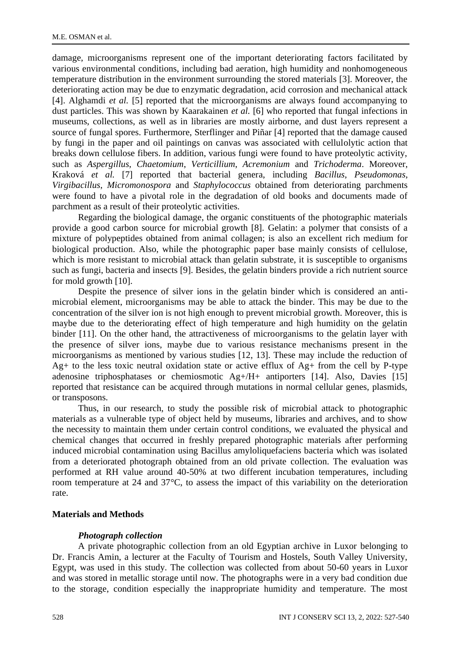damage, microorganisms represent one of the important deteriorating factors facilitated by various environmental conditions, including bad aeration, high humidity and nonhomogeneous temperature distribution in the environment surrounding the stored materials [3]. Moreover, the deteriorating action may be due to enzymatic degradation, acid corrosion and mechanical attack [4]. Alghamdi *et al.* [5] reported that the microorganisms are always found accompanying to dust particles. This was shown by Kaarakainen *et al.* [6] who reported that fungal infections in museums, collections, as well as in libraries are mostly airborne, and dust layers represent a source of fungal spores. Furthermore, Sterflinger and Piñar [4] reported that the damage caused by fungi in the paper and oil paintings on canvas was associated with cellulolytic action that breaks down cellulose fibers. In addition, various fungi were found to have proteolytic activity, such as *Aspergillus*, *Chaetomium*, *Verticillium*, *Acremonium* and *Trichoderma*. Moreover, Kraková *et al.* [7] reported that bacterial genera, including *Bacillus*, *Pseudomonas*, *Virgibacillus*, *Micromonospora* and *Staphylococcus* obtained from deteriorating parchments were found to have a pivotal role in the degradation of old books and documents made of parchment as a result of their proteolytic activities.

Regarding the biological damage, the organic constituents of the photographic materials provide a good carbon source for microbial growth [8]. Gelatin: a polymer that consists of a mixture of polypeptides obtained from animal collagen; is also an excellent rich medium for biological production. Also, while the photographic paper base mainly consists of cellulose, which is more resistant to microbial attack than gelatin substrate, it is susceptible to organisms such as fungi, bacteria and insects [9]. Besides, the gelatin binders provide a rich nutrient source for mold growth [10].

Despite the presence of silver ions in the gelatin binder which is considered an antimicrobial element, microorganisms may be able to attack the binder. This may be due to the concentration of the silver ion is not high enough to prevent microbial growth. Moreover, this is maybe due to the deteriorating effect of high temperature and high humidity on the gelatin binder [11]. On the other hand, the attractiveness of microorganisms to the gelatin layer with the presence of silver ions, maybe due to various resistance mechanisms present in the microorganisms as mentioned by various studies [12, 13]. These may include the reduction of  $Ag+$  to the less toxic neutral oxidation state or active efflux of  $Ag+$  from the cell by P-type adenosine triphosphatases or chemiosmotic Ag+/H+ antiporters [14]. Also, Davies [15] reported that resistance can be acquired through mutations in normal cellular genes, plasmids, or transposons.

Thus, in our research, to study the possible risk of microbial attack to photographic materials as a vulnerable type of object held by museums, libraries and archives, and to show the necessity to maintain them under certain control conditions, we evaluated the physical and chemical changes that occurred in freshly prepared photographic materials after performing induced microbial contamination using Bacillus amyloliquefaciens bacteria which was isolated from a deteriorated photograph obtained from an old private collection. The evaluation was performed at RH value around 40-50% at two different incubation temperatures, including room temperature at 24 and 37°C, to assess the impact of this variability on the deterioration rate.

## **Materials and Methods**

## *Photograph collection*

A private photographic collection from an old Egyptian archive in Luxor belonging to Dr. Francis Amin, a lecturer at the Faculty of Tourism and Hostels, South Valley University, Egypt, was used in this study. The collection was collected from about 50-60 years in Luxor and was stored in metallic storage until now. The photographs were in a very bad condition due to the storage, condition especially the inappropriate humidity and temperature. The most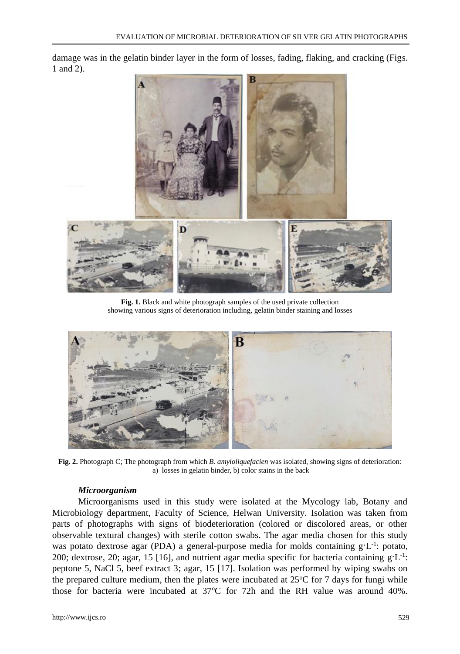damage was in the gelatin binder layer in the form of losses, fading, flaking, and cracking (Figs. 1 and 2).



**Fig. 1.** Black and white photograph samples of the used private collection showing various signs of deterioration including, gelatin binder staining and losses



**Fig. 2.** Photograph C; The photograph from which *B. amyloliquefacien* was isolated, showing signs of deterioration: a) losses in gelatin binder, b) color stains in the back

## *Microorganism*

Microorganisms used in this study were isolated at the Mycology lab, Botany and Microbiology department, Faculty of Science, Helwan University. Isolation was taken from parts of photographs with signs of biodeterioration (colored or discolored areas, or other observable textural changes) with sterile cotton swabs. The agar media chosen for this study was potato dextrose agar (PDA) a general-purpose media for molds containing  $g'L^{-1}$ : potato, 200; dextrose, 20; agar, 15 [16], and nutrient agar media specific for bacteria containing  $g'L^{-1}$ : peptone 5, NaCl 5, beef extract 3; agar, 15 [17]. Isolation was performed by wiping swabs on the prepared culture medium, then the plates were incubated at  $25^{\circ}$ C for 7 days for fungi while those for bacteria were incubated at  $37^{\circ}$ C for 72h and the RH value was around 40%.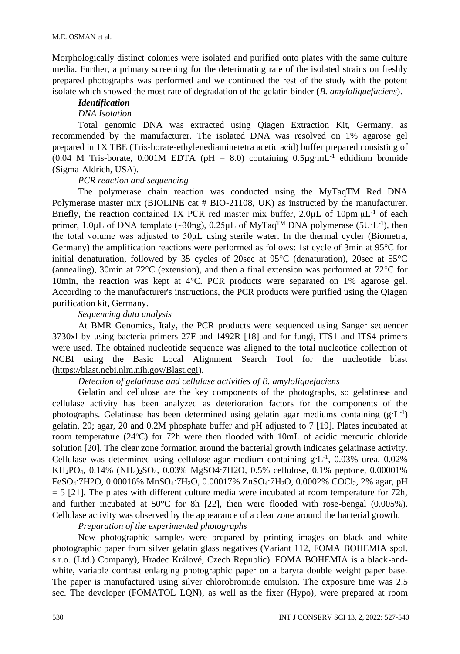Morphologically distinct colonies were isolated and purified onto plates with the same culture media. Further, a primary screening for the deteriorating rate of the isolated strains on freshly prepared photographs was performed and we continued the rest of the study with the potent isolate which showed the most rate of degradation of the gelatin binder (*B. amyloliquefaciens*).

#### *Identification*

## *DNA Isolation*

Total genomic DNA was extracted using Qiagen Extraction Kit, Germany, as recommended by the manufacturer. The isolated DNA was resolved on 1% agarose gel prepared in 1X TBE (Tris-borate-ethylenediaminetetra acetic acid) buffer prepared consisting of (0.04 M Tris-borate, 0.001M EDTA (pH = 8.0) containing  $0.5\mu\text{g} \cdot \text{m}$ L<sup>-1</sup> ethidium bromide (Sigma-Aldrich, USA).

## *PCR reaction and sequencing*

The polymerase chain reaction was conducted using the MyTaqTM Red DNA Polymerase master mix (BIOLINE cat # BIO-21108, UK) as instructed by the manufacturer. Briefly, the reaction contained 1X PCR red master mix buffer, 2.0μL of 10pm·μL<sup>-1</sup> of each primer, 1.0µL of DNA template (~30ng), 0.25µL of MyTaq<sup>TM</sup> DNA polymerase (5U·L<sup>-1</sup>), then the total volume was adjusted to 50μL using sterile water. In the thermal cycler (Biometra, Germany) the amplification reactions were performed as follows: 1st cycle of 3min at 95°C for initial denaturation, followed by 35 cycles of 20sec at 95°C (denaturation), 20sec at 55°C (annealing), 30min at 72°C (extension), and then a final extension was performed at 72°C for 10min, the reaction was kept at 4°C. PCR products were separated on 1% agarose gel. According to the manufacturer's instructions, the PCR products were purified using the Qiagen purification kit, Germany.

## *Sequencing data analysis*

At BMR Genomics, Italy, the PCR products were sequenced using Sanger sequencer 3730xl by using bacteria primers 27F and 1492R [18] and for fungi, ITS1 and ITS4 primers were used. The obtained nucleotide sequence was aligned to the total nucleotide collection of NCBI using the Basic Local Alignment Search Tool for the nucleotide blast [\(https://blast.ncbi.nlm.nih.gov/Blast.cgi\)](https://blast.ncbi.nlm.nih.gov/Blast.cgi).

## *Detection of gelatinase and cellulase activities of B. amyloliquefaciens*

Gelatin and cellulose are the key components of the photographs, so gelatinase and cellulase activity has been analyzed as deterioration factors for the components of the photographs. Gelatinase has been determined using gelatin agar mediums containing  $(g'L^{-1})$ gelatin, 20; agar, 20 and 0.2M phosphate buffer and pH adjusted to 7 [19]. Plates incubated at room temperature  $(24^{\circ}C)$  for 72h were then flooded with 10mL of acidic mercuric chloride solution [20]. The clear zone formation around the bacterial growth indicates gelatinase activity. Cellulase was determined using cellulose-agar medium containing  $g'L^{-1}$ , 0.03% urea, 0.02% KH2PO4, 0.14% (NH4)2SO4, 0.03% MgSO4·7H2O, 0.5% cellulose, 0.1% peptone, 0.00001% FeSO4·7H2O, 0.00016% MnSO4·7H2O, 0.00017% ZnSO4·7H2O, 0.0002% COCl2, 2% agar, pH  $= 5$  [21]. The plates with different culture media were incubated at room temperature for 72h, and further incubated at  $50^{\circ}$ C for 8h [22], then were flooded with rose-bengal (0.005%). Cellulase activity was observed by the appearance of a clear zone around the bacterial growth.

*Preparation of the experimented photographs* 

New photographic samples were prepared by printing images on black and white photographic paper from silver gelatin glass negatives (Variant 112, FOMA BOHEMIA spol. s.r.o. (Ltd.) Company), Hradec Králové, Czech Republic). FOMA BOHEMIA is a black-andwhite, variable contrast enlarging photographic paper on a baryta double weight paper base. The paper is manufactured using silver chlorobromide emulsion. The exposure time was 2.5 sec. The developer (FOMATOL LQN), as well as the fixer (Hypo), were prepared at room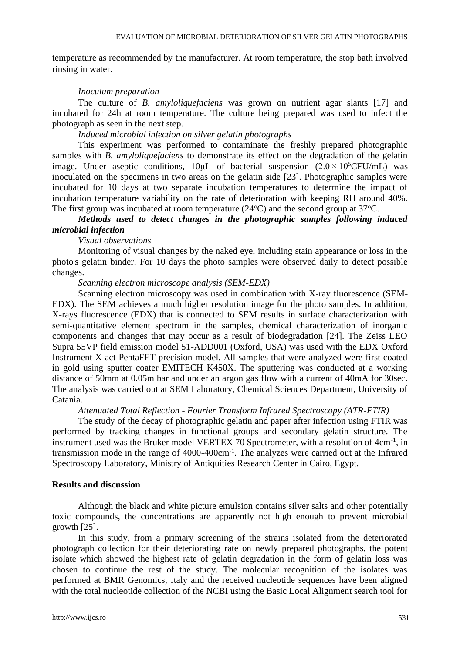temperature as recommended by the manufacturer. At room temperature, the stop bath involved rinsing in water.

## *Inoculum preparation*

The culture of *B. amyloliquefaciens* was grown on nutrient agar slants [17] and incubated for 24h at room temperature. The culture being prepared was used to infect the photograph as seen in the next step*.*

*Induced microbial infection on silver gelatin photographs*

This experiment was performed to contaminate the freshly prepared photographic samples with *B. amyloliquefaciens* to demonstrate its effect on the degradation of the gelatin image. Under aseptic conditions,  $10 \mu$ L of bacterial suspension  $(2.0 \times 10^{5} CFU/mL)$  was inoculated on the specimens in two areas on the gelatin side [23]. Photographic samples were incubated for 10 days at two separate incubation temperatures to determine the impact of incubation temperature variability on the rate of deterioration with keeping RH around 40%. The first group was incubated at room temperature  $(24^{\circ}\text{C})$  and the second group at 37 $^{\circ}\text{C}$ .

## *Methods used to detect changes in the photographic samples following induced microbial infection*

*Visual observations*

Monitoring of visual changes by the naked eye, including stain appearance or loss in the photo's gelatin binder. For 10 days the photo samples were observed daily to detect possible changes.

## *Scanning electron microscope analysis (SEM-EDX)*

Scanning electron microscopy was used in combination with X-ray fluorescence (SEM-EDX). The SEM achieves a much higher resolution image for the photo samples. In addition, X-rays fluorescence (EDX) that is connected to SEM results in surface characterization with semi-quantitative element spectrum in the samples, chemical characterization of inorganic components and changes that may occur as a result of biodegradation [24]. The Zeiss LEO Supra 55VP field emission model 51-ADD001 (Oxford, USA) was used with the EDX Oxford Instrument X-act PentaFET precision model. All samples that were analyzed were first coated in gold using sputter coater EMITECH K450X. The sputtering was conducted at a working distance of 50mm at 0.05m bar and under an argon gas flow with a current of 40mA for 30sec. The analysis was carried out at SEM Laboratory, Chemical Sciences Department, University of Catania.

## *Attenuated Total Reflection - Fourier Transform Infrared Spectroscopy (ATR-FTIR)*

The study of the decay of photographic gelatin and paper after infection using FTIR was performed by tracking changes in functional groups and secondary gelatin structure. The instrument used was the Bruker model VERTEX 70 Spectrometer, with a resolution of 4cm<sup>-1</sup>, in transmission mode in the range of 4000-400cm<sup>-1</sup>. The analyzes were carried out at the Infrared Spectroscopy Laboratory, Ministry of Antiquities Research Center in Cairo, Egypt.

## **Results and discussion**

Although the black and white picture emulsion contains silver salts and other potentially toxic compounds, the concentrations are apparently not high enough to prevent microbial growth [25].

In this study, from a primary screening of the strains isolated from the deteriorated photograph collection for their deteriorating rate on newly prepared photographs, the potent isolate which showed the highest rate of gelatin degradation in the form of gelatin loss was chosen to continue the rest of the study. The molecular recognition of the isolates was performed at BMR Genomics, Italy and the received nucleotide sequences have been aligned with the total nucleotide collection of the NCBI using the Basic Local Alignment search tool for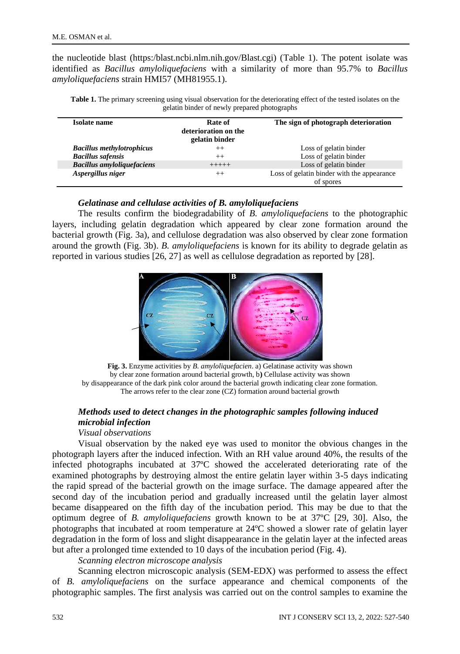the nucleotide blast (https:/blast.ncbi.nlm.nih.gov/Blast.cgi) (Table 1). The potent isolate was identified as *Bacillus amyloliquefaciens* with a similarity of more than 95.7% to *Bacillus amyloliquefaciens* strain HMI57 (MH81955.1).

| <b>Table 1.</b> The primary screening using visual observation for the deteriorating effect of the tested isolates on the |
|---------------------------------------------------------------------------------------------------------------------------|
| gelatin binder of newly prepared photographs                                                                              |

| <b>Isolate name</b>               | Rate of<br>deterioration on the<br>gelatin binder | The sign of photograph deterioration       |
|-----------------------------------|---------------------------------------------------|--------------------------------------------|
| <b>Bacillus methylotrophicus</b>  | $++$                                              | Loss of gelatin binder                     |
| <b>Bacillus safensis</b>          | $^{++}$                                           | Loss of gelatin binder                     |
| <b>Bacillus amyloliquefaciens</b> | $+++++$                                           | Loss of gelatin binder                     |
| Aspergillus niger                 | $^{++}$                                           | Loss of gelatin binder with the appearance |
|                                   |                                                   | of spores                                  |

## *Gelatinase and cellulase activities of B. amyloliquefaciens*

The results confirm the biodegradability of *B. amyloliquefaciens* to the photographic layers, including gelatin degradation which appeared by clear zone formation around the bacterial growth (Fig. 3a), and cellulose degradation was also observed by clear zone formation around the growth (Fig. 3b). *B. amyloliquefaciens* is known for its ability to degrade gelatin as reported in various studies [26, 27] as well as cellulose degradation as reported by [28].



**Fig. 3.** Enzyme activities by *B. amyloliquefacien*. a) Gelatinase activity was shown by clear zone formation around bacterial growth, b**)** Cellulase activity was shown by disappearance of the dark pink color around the bacterial growth indicating clear zone formation. The arrows refer to the clear zone (CZ) formation around bacterial growth

# *Methods used to detect changes in the photographic samples following induced microbial infection*

## *Visual observations*

Visual observation by the naked eye was used to monitor the obvious changes in the photograph layers after the induced infection. With an RH value around 40%, the results of the infected photographs incubated at 37ºC showed the accelerated deteriorating rate of the examined photographs by destroying almost the entire gelatin layer within 3-5 days indicating the rapid spread of the bacterial growth on the image surface. The damage appeared after the second day of the incubation period and gradually increased until the gelatin layer almost became disappeared on the fifth day of the incubation period. This may be due to that the optimum degree of *B. amyloliquefaciens* growth known to be at 37ºC [29, 30]. Also, the photographs that incubated at room temperature at 24ºC showed a slower rate of gelatin layer degradation in the form of loss and slight disappearance in the gelatin layer at the infected areas but after a prolonged time extended to 10 days of the incubation period (Fig. 4).

*Scanning electron microscope analysis* 

Scanning electron microscopic analysis (SEM-EDX) was performed to assess the effect of *B. amyloliquefaciens* on the surface appearance and chemical components of the photographic samples. The first analysis was carried out on the control samples to examine the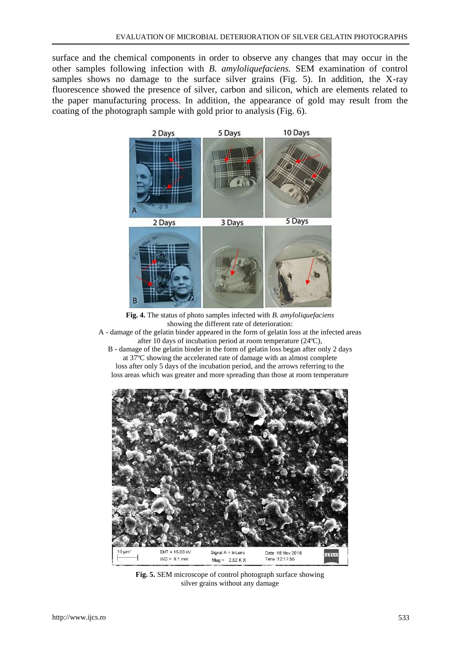surface and the chemical components in order to observe any changes that may occur in the other samples following infection with *B. amyloliquefaciens.* SEM examination of control samples shows no damage to the surface silver grains (Fig. 5). In addition, the X-ray fluorescence showed the presence of silver, carbon and silicon, which are elements related to the paper manufacturing process. In addition, the appearance of gold may result from the coating of the photograph sample with gold prior to analysis (Fig. 6).



**Fig. 4.** The status of photo samples infected with *B. amyloliquefaciens* showing the different rate of deterioration:

A - damage of the gelatin binder appeared in the form of gelatin loss at the infected areas after 10 days of incubation period at room temperature (24ºC),

B - damage of the gelatin binder in the form of gelatin loss began after only 2 days at 37ºC showing the accelerated rate of damage with an almost complete loss after only 5 days of the incubation period, and the arrows referring to the loss areas which was greater and more spreading than those at room temperature



**Fig. 5.** SEM microscope of control photograph surface showing silver grains without any damage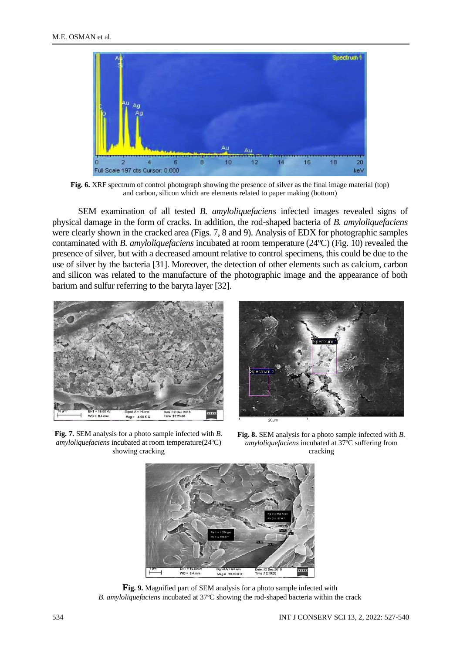

**Fig. 6.** XRF spectrum of control photograph showing the presence of silver as the final image material (top) and carbon, silicon which are elements related to paper making (bottom)

SEM examination of all tested *B. amyloliquefaciens* infected images revealed signs of physical damage in the form of cracks. In addition, the rod-shaped bacteria of *B. amyloliquefaciens* were clearly shown in the cracked area (Figs. 7, 8 and 9). Analysis of EDX for photographic samples contaminated with *B. amyloliquefaciens* incubated at room temperature (24ºC) (Fig. 10) revealed the presence of silver, but with a decreased amount relative to control specimens, this could be due to the use of silver by the bacteria [31]. Moreover, the detection of other elements such as calcium, carbon and silicon was related to the manufacture of the photographic image and the appearance of both barium and sulfur referring to the baryta layer [32].



**Fig. 7.** SEM analysis for a photo sample infected with *B. amyloliquefaciens* incubated at room temperature(24ºC) showing cracking



**Fig. 8.** SEM analysis for a photo sample infected with *B. amyloliquefaciens* incubated at 37ºC suffering from cracking



**Fig. 9.** Magnified part of SEM analysis for a photo sample infected with *B. amyloliquefaciens* incubated at 37ºC showing the rod-shaped bacteria within the crack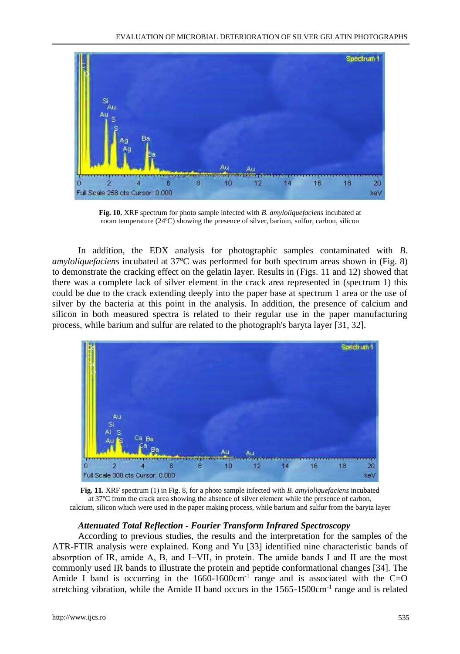

**Fig. 10.** XRF spectrum for photo sample infected with *B. amyloliquefaciens* incubated at room temperature (24ºC) showing the presence of silver, barium, sulfur, carbon, silicon

In addition, the EDX analysis for photographic samples contaminated with *B. amyloliquefaciens* incubated at 37°C was performed for both spectrum areas shown in (Fig. 8) to demonstrate the cracking effect on the gelatin layer. Results in (Figs. 11 and 12) showed that there was a complete lack of silver element in the crack area represented in (spectrum 1) this could be due to the crack extending deeply into the paper base at spectrum 1 area or the use of silver by the bacteria at this point in the analysis. In addition, the presence of calcium and silicon in both measured spectra is related to their regular use in the paper manufacturing process, while barium and sulfur are related to the photograph's baryta layer [31, 32].



**Fig. 11.** XRF spectrum (1) in Fig. 8, for a photo sample infected with *B. amyloliquefaciens* incubated at 37ºC from the crack area showing the absence of silver element while the presence of carbon, calcium, silicon which were used in the paper making process, while barium and sulfur from the baryta layer

## *Attenuated Total Reflection - Fourier Transform Infrared Spectroscopy*

According to previous studies, the results and the interpretation for the samples of the ATR-FTIR analysis were explained. Kong and Yu [33] identified nine characteristic bands of absorption of IR, amide A, B, and I−VII, in protein. The amide bands I and II are the most commonly used IR bands to illustrate the protein and peptide conformational changes [34]. The Amide I band is occurring in the  $1660-1600 \text{cm}^{-1}$  range and is associated with the C=O stretching vibration, while the Amide II band occurs in the 1565-1500cm<sup>-1</sup> range and is related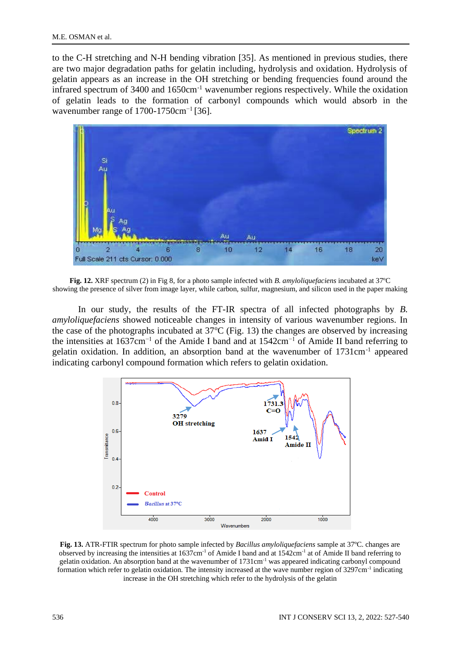to the C-H stretching and N-H bending vibration [35]. As mentioned in previous studies, there are two major degradation paths for gelatin including, hydrolysis and oxidation. Hydrolysis of gelatin appears as an increase in the OH stretching or bending frequencies found around the infrared spectrum of 3400 and 1650cm-1 wavenumber regions respectively. While the oxidation of gelatin leads to the formation of carbonyl compounds which would absorb in the wavenumber range of 1700-1750cm<sup>-1</sup> [36].



**Fig. 12.** XRF spectrum (2) in Fig 8, for a photo sample infected with *B. amyloliquefaciens* incubated at 37ºC showing the presence of silver from image layer, while carbon, sulfur, magnesium, and silicon used in the paper making

In our study, the results of the FT-IR spectra of all infected photographs by *B. amyloliquefaciens* showed noticeable changes in intensity of various wavenumber regions. In the case of the photographs incubated at  $37^{\circ}$ C (Fig. 13) the changes are observed by increasing the intensities at 1637cm−1 of the Amide I band and at 1542cm−1 of Amide II band referring to gelatin oxidation. In addition, an absorption band at the wavenumber of 1731cm<sup>-1</sup> appeared indicating carbonyl compound formation which refers to gelatin oxidation.



**Fig. 13.** ATR-FTIR spectrum for photo sample infected by *Bacillus amyloliquefaciens* sample at 37ºC. changes are observed by increasing the intensities at  $1637 \text{cm}^{-1}$  of Amide I band and at  $1542 \text{cm}^{-1}$  at of Amide II band referring to gelatin oxidation. An absorption band at the wavenumber of 1731cm<sup>-1</sup> was appeared indicating carbonyl compound formation which refer to gelatin oxidation. The intensity increased at the wave number region of 3297cm<sup>-1</sup> indicating increase in the OH stretching which refer to the hydrolysis of the gelatin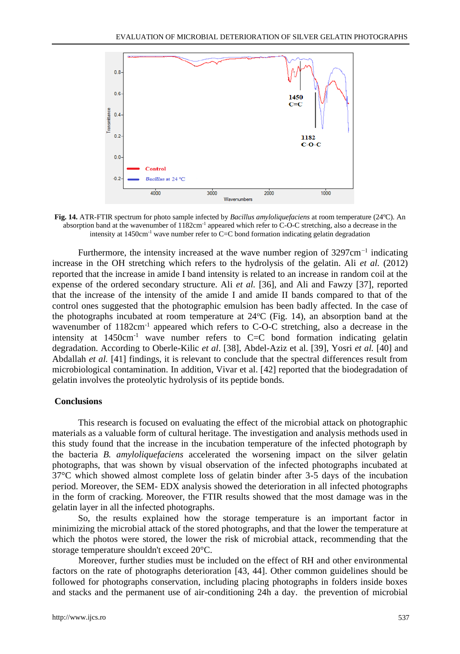

**Fig. 14.** ATR-FTIR spectrum for photo sample infected by *Bacillus amyloliquefaciens* at room temperature (24ºC). An absorption band at the wavenumber of  $1182 \text{cm}^{-1}$  appeared which refer to C-O-C stretching, also a decrease in the intensity at 1450cm<sup>-1</sup> wave number refer to C=C bond formation indicating gelatin degradation

Furthermore, the intensity increased at the wave number region of  $3297 \text{cm}^{-1}$  indicating increase in the OH stretching which refers to the hydrolysis of the gelatin. Ali *et al.* (2012) reported that the increase in amide I band intensity is related to an increase in random coil at the expense of the ordered secondary structure. Ali *et al.* [36], and Ali and Fawzy [37], reported that the increase of the intensity of the amide I and amide II bands compared to that of the control ones suggested that the photographic emulsion has been badly affected. In the case of the photographs incubated at room temperature at  $24^{\circ}$ C (Fig. 14), an absorption band at the wavenumber of  $1182 \text{cm}^{-1}$  appeared which refers to C-O-C stretching, also a decrease in the intensity at  $1450 \text{cm}^{-1}$  wave number refers to C=C bond formation indicating gelatin degradation. According to Oberle-Kilic *et al*. [38], Abdel-Aziz et al. [39], Yosri *et al.* [40] and Abdallah *et al.* [41] findings, it is relevant to conclude that the spectral differences result from microbiological contamination. In addition, Vivar et al. [42] reported that the biodegradation of gelatin involves the proteolytic hydrolysis of its peptide bonds.

## **Conclusions**

This research is focused on evaluating the effect of the microbial attack on photographic materials as a valuable form of cultural heritage. The investigation and analysis methods used in this study found that the increase in the incubation temperature of the infected photograph by the bacteria *B. amyloliquefaciens* accelerated the worsening impact on the silver gelatin photographs, that was shown by visual observation of the infected photographs incubated at 37°C which showed almost complete loss of gelatin binder after 3-5 days of the incubation period. Moreover, the SEM- EDX analysis showed the deterioration in all infected photographs in the form of cracking. Moreover, the FTIR results showed that the most damage was in the gelatin layer in all the infected photographs.

So, the results explained how the storage temperature is an important factor in minimizing the microbial attack of the stored photographs, and that the lower the temperature at which the photos were stored, the lower the risk of microbial attack, recommending that the storage temperature shouldn't exceed 20°C.

Moreover, further studies must be included on the effect of RH and other environmental factors on the rate of photographs deterioration [43, 44]. Other common guidelines should be followed for photographs conservation, including placing photographs in folders inside boxes and stacks and the permanent use of air-conditioning 24h a day. the prevention of microbial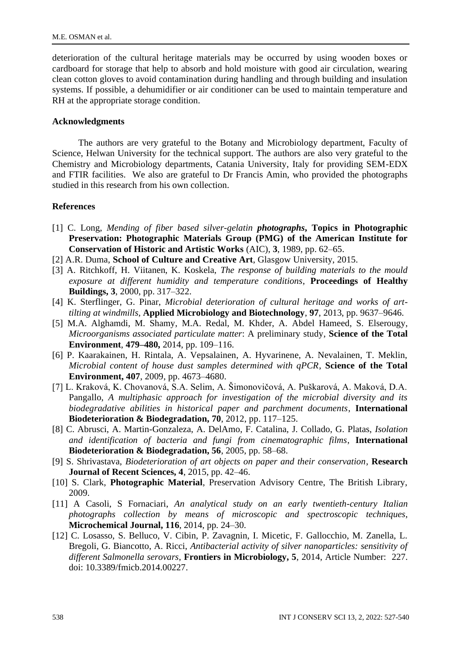deterioration of the cultural heritage materials may be occurred by using wooden boxes or cardboard for storage that help to absorb and hold moisture with good air circulation, wearing clean cotton gloves to avoid contamination during handling and through building and insulation systems. If possible, a dehumidifier or air conditioner can be used to maintain temperature and RH at the appropriate storage condition.

## **Acknowledgments**

The authors are very grateful to the Botany and Microbiology department, Faculty of Science, Helwan University for the technical support. The authors are also very grateful to the Chemistry and Microbiology departments, Catania University, Italy for providing SEM-EDX and FTIR facilities. We also are grateful to Dr Francis Amin, who provided the photographs studied in this research from his own collection.

## **References**

- [1] C. Long, *Mending of fiber based silver-gelatin photographs***, Topics in Photographic Preservation: Photographic Materials Group (PMG) of the American Institute for Conservation of Historic and Artistic Works** (AIC), **3**, 1989, pp. 62–65.
- [2] A.R. Duma, **School of Culture and Creative Art**, Glasgow University, 2015.
- [3] A. Ritchkoff, H. Viitanen, K. Koskela, *The response of building materials to the mould exposure at different humidity and temperature conditions*, **Proceedings of Healthy Buildings, 3**, 2000, pp. 317–322.
- [4] K. Sterflinger, G. Pinar, *Microbial deterioration of cultural heritage and works of arttilting at windmills*, **Applied Microbiology and Biotechnology**, **97**, 2013, pp. 9637–9646.
- [5] M.A. Alghamdi, M. Shamy, M.A. Redal, M. Khder, A. Abdel Hameed, S. Elserougy, *Microorganisms associated particulate matter*: A preliminary study, **Science of the Total Environment**, **479–480,** 2014, pp. 109–116.
- [6] P. Kaarakainen, H. Rintala, A. Vepsalainen, A. Hyvarinene, A. Nevalainen, T. Meklin, *Microbial content of house dust samples determined with qPCR*, **Science of the Total Environment, 407**, 2009, pp. 4673–4680.
- [7] L. Kraková, K. Chovanová, S.A. Selim, A. Šimonovičová, A. Puškarová, A. Maková, D.A. Pangallo, *A multiphasic approach for investigation of the microbial diversity and its biodegradative abilities in historical paper and parchment documents*, **International Biodeterioration & Biodegradation, 70**, 2012, pp. 117–125.
- [8] C. Abrusci, A. Martin-Gonzaleza, A. DelAmo, F. Catalina, J. Collado, G. Platas, *Isolation and identification of bacteria and fungi from cinematographic films*, **International Biodeterioration & Biodegradation, 56**, 2005, pp. 58–68.
- [9] S. Shrivastava, *Biodeterioration of art objects on paper and their conservation*, **Research Journal of Recent Sciences, 4**, 2015, pp. 42–46.
- [10] S. Clark, **Photographic Material**, Preservation Advisory Centre, The British Library, 2009.
- [11] A Casoli, S Fornaciari, *An analytical study on an early twentieth-century Italian photographs collection by means of microscopic and spectroscopic techniques*, **Microchemical Journal, 116**, 2014, pp. 24–30.
- [12] C. Losasso, S. Belluco, V. Cibin, P. Zavagnin, I. Micetic, F. Gallocchio, M. Zanella, L. Bregoli, G. Biancotto, A. Ricci, *Antibacterial activity of silver nanoparticles: sensitivity of different Salmonella serovars*, **Frontiers in Microbiology, 5**, 2014, Article Number: 227. doi: 10.3389/fmicb.2014.00227.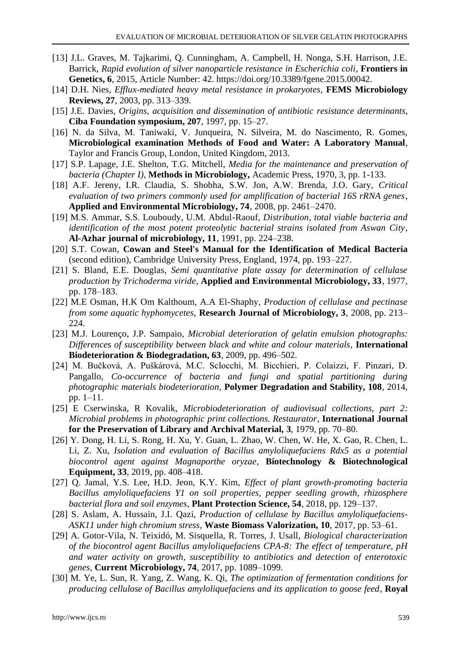- [13] J.L. Graves, M. Tajkarimi, Q. Cunningham, A. Campbell, H. Nonga, S.H. Harrison, J.E. Barrick, *Rapid evolution of silver nanoparticle resistance in Escherichia coli*, **Frontiers in Genetics, 6**, 2015, Article Number: 42. https://doi.org/10.3389/fgene.2015.00042.
- [14] D.H. Nies, *Efflux-mediated heavy metal resistance in prokaryotes*, **FEMS Microbiology Reviews, 27**, 2003, pp. 313–339.
- [15] J.E. Davies, *Origins, acquisition and dissemination of antibiotic resistance determinants*, **Ciba Foundation symposium, 207**, 1997, pp. 15–27.
- [16] N. da Silva, M. Taniwaki, V. Junqueira, N. Silveira, M. do Nascimento, R. Gomes, **Microbiological examination Methods of Food and Water: A Laboratory Manual**, Taylor and Francis Group, London, United Kingdom, 2013.
- [17] S.P. Lapage, J.E. Shelton, T.G. Mitchell, *Media for the maintenance and preservation of bacteria (Chapter I),* **Methods in Microbiology,** Academic Press, 1970, 3, pp. 1-133.
- [18] A.F. Jereny, I.R. Claudia, S. Shobha, S.W. Jon, A.W. Brenda, J.O. Gary, *Critical evaluation of two primers commonly used for amplification of bacterial 16S rRNA genes*, **Applied and Environmental Microbiology, 74**, 2008, pp. 2461–2470.
- [19] M.S. Ammar, S.S. Louboudy, U.M. Abdul-Raouf, *Distribution, total viable bacteria and identification of the most potent proteolytic bacterial strains isolated from Aswan City*, **Al-Azhar journal of microbiology, 11**, 1991, pp. 224–238.
- [20] S.T. Cowan, **Cowan and Steel's Manual for the Identification of Medical Bacteria** (second edition), Cambridge University Press, England, 1974, pp. 193–227.
- [21] S. Bland, E.E. Douglas, *Semi quantitative plate assay for determination of cellulase production by Trichoderma viride*, **Applied and Environmental Microbiology, 33**, 1977, pp. 178–183.
- [22] M.E Osman, H.K Om Kalthoum, A.A El-Shaphy, *Production of cellulase and pectinase from some aquatic hyphomycetes*, **Research Journal of Microbiology, 3**, 2008, pp. 213– 224.
- [23] M.J. Lourenço, J.P. Sampaio, *Microbial deterioration of gelatin emulsion photographs: Differences of susceptibility between black and white and colour materials*, **International Biodeterioration & Biodegradation, 63**, 2009, pp. 496–502.
- [24] M. Bučková, A. Puškárová, M.C. Sclocchi, M. Bicchieri, P. Colaizzi, F. Pinzari, D. Pangallo, *Co-occurrence of bacteria and fungi and spatial partitioning during photographic materials biodeterioration*, **Polymer Degradation and Stability, 108**, 2014, pp. 1–11.
- [25] E Cserwinska, R Kovalik, *Microbiodeterioration of audiovisual collections, part 2: Microbial problems in photographic print collections. Restaurator*, **International Journal for the Preservation of Library and Archival Material, 3**, 1979, pp. 70–80.
- [26] Y. Dong, H. Li, S. Rong, H. Xu, Y. Guan, L. Zhao, W. Chen, W. He, X. Gao, R. Chen, L. Li, Z. Xu, *Isolation and evaluation of Bacillus amyloliquefaciens Rdx5 as a potential biocontrol agent against Magnaporthe oryzae*, **Biotechnology & Biotechnological Equipment, 33**, 2019, pp. 408–418.
- [27] Q. Jamal, Y.S. Lee, H.D. Jeon, K.Y. Kim, *Effect of plant growth-promoting bacteria Bacillus amyloliquefaciens Y1 on soil properties, pepper seedling growth, rhizosphere bacterial flora and soil enzymes*, **Plant Protection Science, 54**, 2018, pp. 129–137.
- [28] S. Aslam, A. Hussain, J.I. Qazi, *Production of cellulase by Bacillus amyloliquefaciens-ASK11 under high chromium stress*, **Waste Biomass Valorization, 10**, 2017, pp. 53–61.
- [29] A. Gotor-Vila, N. Teixidó, M. Sisquella, R. Torres, J. Usall, *Biological characterization of the biocontrol agent Bacillus amyloliquefaciens CPA-8: The effect of temperature, pH and water activity on growth, susceptibility to antibiotics and detection of enterotoxic genes*, **Current Microbiology, 74**, 2017, pp. 1089–1099.
- [30] M. Ye, L. Sun, R. Yang, Z. Wang, K. Qi, *The optimization of fermentation conditions for producing cellulose of Bacillus amyloliquefaciens and its application to goose feed*, **Royal**